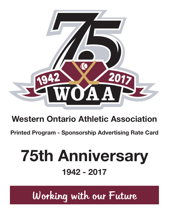

## **Western Ontario Athletic Association**

**Printed Program - Sponsorship Advertising Rate Card**

# **75th Anniversary 1942 - 2017**

Working with our Future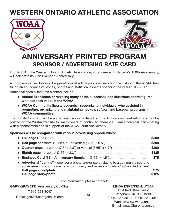## **WESTERN ONTARIO ATHLETIC ASSOCIATION**





### **ANNIVERSARY PRINTED PROGRAM SPONSOR / ADVERTISING RATE CARD**

In July 2017, the Western Ontario Athletic Association, in tandem with Canada's 150th Anniversary, will celebrate its 75th Diamond Anniversary.

A commemorative Historical Program/Booklet will be published recalling the history of the WOAA, featuring an abundance of stories, photos and statistical aspects spanning the years 1942-2017.

Additional special features planned include:

- **• Alumni Excellence chronicling many of the successful and illustrious sports figures who had their roots in the WOAA,**
- **• WOAA Community Sports Legends recognizing individuals who assisted in promoting, organizing and maintaining hockey, softball and baseball programs in WOAA communities.**

The booklet/program will be a cherished souvenir item from the Anniversary celebration and will be posted on the WOAA website for many years of continued reference. Please consider participating with a sponsorship and in support of the WOAA 75th Anniversary.

#### **Sponsors will be recognized with various advertising opportunities:**

|                                                                                                                                                                            | \$500        |
|----------------------------------------------------------------------------------------------------------------------------------------------------------------------------|--------------|
|                                                                                                                                                                            | \$300        |
|                                                                                                                                                                            |              |
|                                                                                                                                                                            |              |
|                                                                                                                                                                            |              |
| • Advertorial "by-line" – sponsor a photo and/or story relating to a community sporting<br>achievement in your home town community and receive a "by-line" acknowledgement |              |
| Half page story/photo manufactured and all page story/photo<br>Full page story/photo manufactured and page story/photo                                                     | \$75<br>5125 |
|                                                                                                                                                                            |              |

#### For information, please contact:

| <b>GARY GRAVETT, Anniversary Co-Chair</b>        |    | <b>LINDA ESPENSEN, WOAA</b>                           |  |
|--------------------------------------------------|----|-------------------------------------------------------|--|
| T 519-524-8047<br>E-mail golf@sunsetgolfclub.com | or | 49 Alfred Street West                                 |  |
|                                                  |    | Wingham ON N0G 2W0<br>T 519-357-3512 - F 519-357-4341 |  |
|                                                  |    | Website www.woaa.on.ca                                |  |
|                                                  |    | E-mail woaa@hurontel.on.ca                            |  |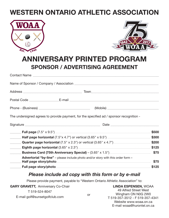## **WESTERN ONTARIO ATHLETIC ASSOCIATION**





E-mail woaa@hurontel.on.ca

### **ANNIVERSARY PRINTED PROGRAM SPONSOR / ADVERTISING AGREEMENT**

|                            | The undersigned agrees to provide payment, for the specified ad / sponsor recognition - |       |
|----------------------------|-----------------------------------------------------------------------------------------|-------|
|                            |                                                                                         |       |
|                            |                                                                                         |       |
|                            |                                                                                         |       |
|                            |                                                                                         |       |
|                            |                                                                                         |       |
|                            |                                                                                         | \$75  |
|                            | <b>Advertorial "by-line"</b> – please include photo and/or story with this order form – |       |
| $\mathcal{L}^{\text{max}}$ |                                                                                         | \$75  |
|                            |                                                                                         | \$125 |

#### *Please include ad copy with this form or by e-mail*

Please provide payment, payable to "Western Ontario Athletic Association" to:

| <b>GARY GRAVETT, Anniversary Co-Chair</b> |    | <b>LINDA ESPENSEN, WOAA</b>                           |
|-------------------------------------------|----|-------------------------------------------------------|
| T 519-524-8047                            |    | 49 Alfred Street West                                 |
| E-mail golf@sunsetgolfclub.com            | or | Wingham ON N0G 2W0<br>T 519-357-3512 - F 519-357-4341 |
|                                           |    | Website www.woaa.on.ca                                |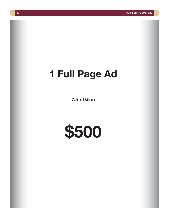# **1 Full Page Ad**

**7.5 x 9.5 in**

**\$500**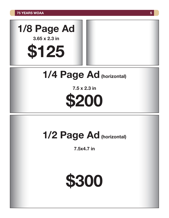

**\$125**

# **1/4 Page Ad (horizontal)**

**7.5 x 2.3 in \$200**

## **1/2 Page Ad (horizontal)**

**7.5x4.7 in**

**\$300**